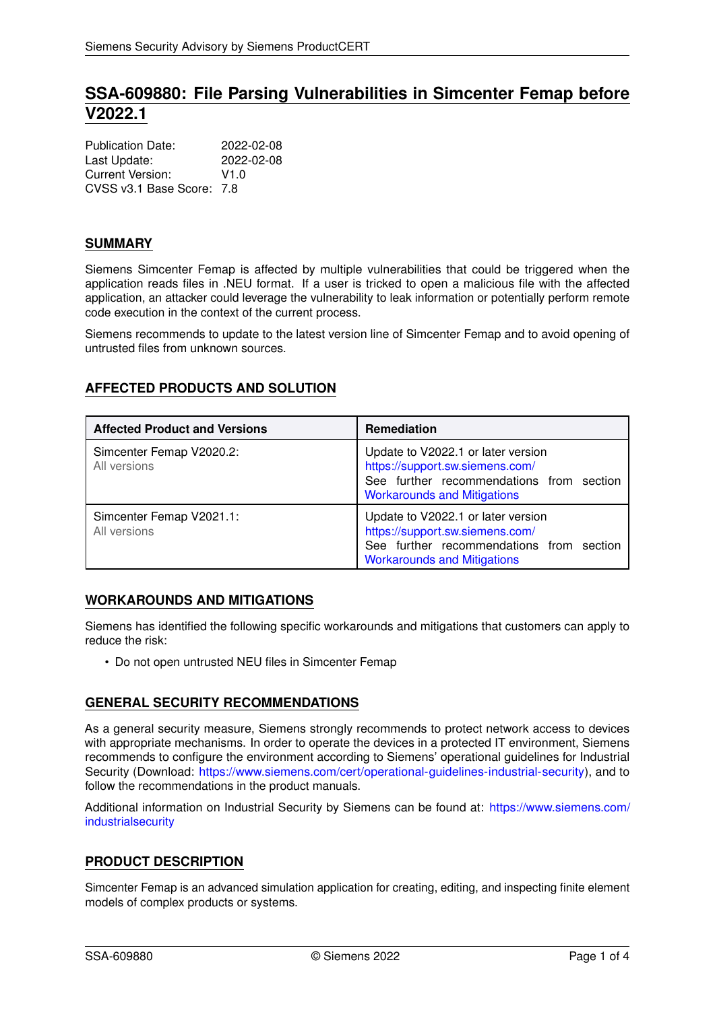# **SSA-609880: File Parsing Vulnerabilities in Simcenter Femap before V2022.1**

| <b>Publication Date:</b>  | 2022-02-08 |
|---------------------------|------------|
| Last Update:              | 2022-02-08 |
| Current Version:          | V1.0       |
| CVSS v3.1 Base Score: 7.8 |            |

# **SUMMARY**

Siemens Simcenter Femap is affected by multiple vulnerabilities that could be triggered when the application reads files in .NEU format. If a user is tricked to open a malicious file with the affected application, an attacker could leverage the vulnerability to leak information or potentially perform remote code execution in the context of the current process.

Siemens recommends to update to the latest version line of Simcenter Femap and to avoid opening of untrusted files from unknown sources.

# **AFFECTED PRODUCTS AND SOLUTION**

| <b>Affected Product and Versions</b>     | <b>Remediation</b>                                                                                                                                      |
|------------------------------------------|---------------------------------------------------------------------------------------------------------------------------------------------------------|
| Simcenter Femap V2020.2:<br>All versions | Update to V2022.1 or later version<br>https://support.sw.siemens.com/<br>See further recommendations from section<br><b>Workarounds and Mitigations</b> |
| Simcenter Femap V2021.1:<br>All versions | Update to V2022.1 or later version<br>https://support.sw.siemens.com/<br>See further recommendations from section<br><b>Workarounds and Mitigations</b> |

# <span id="page-0-0"></span>**WORKAROUNDS AND MITIGATIONS**

Siemens has identified the following specific workarounds and mitigations that customers can apply to reduce the risk:

• Do not open untrusted NEU files in Simcenter Femap

# **GENERAL SECURITY RECOMMENDATIONS**

As a general security measure, Siemens strongly recommends to protect network access to devices with appropriate mechanisms. In order to operate the devices in a protected IT environment, Siemens recommends to configure the environment according to Siemens' operational guidelines for Industrial Security (Download: [https://www.siemens.com/cert/operational-guidelines-industrial-security\)](https://www.siemens.com/cert/operational-guidelines-industrial-security), and to follow the recommendations in the product manuals.

Additional information on Industrial Security by Siemens can be found at: [https://www.siemens.com/](https://www.siemens.com/industrialsecurity) [industrialsecurity](https://www.siemens.com/industrialsecurity)

# **PRODUCT DESCRIPTION**

Simcenter Femap is an advanced simulation application for creating, editing, and inspecting finite element models of complex products or systems.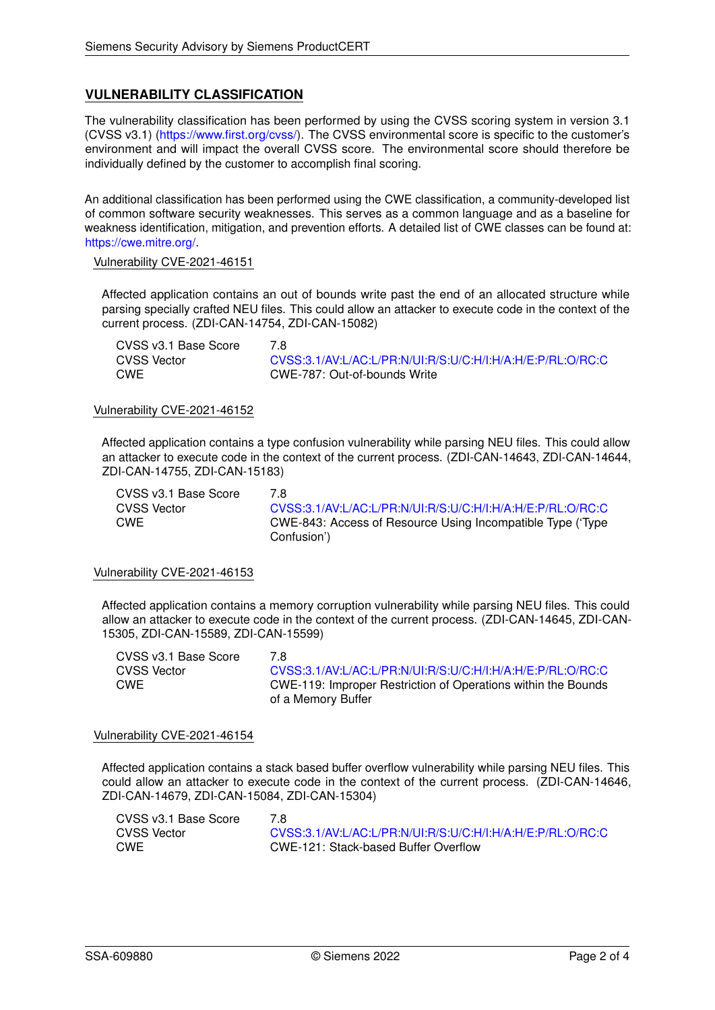# **VULNERABILITY CLASSIFICATION**

The vulnerability classification has been performed by using the CVSS scoring system in version 3.1 (CVSS v3.1) [\(https://www.first.org/cvss/\)](https://www.first.org/cvss/). The CVSS environmental score is specific to the customer's environment and will impact the overall CVSS score. The environmental score should therefore be individually defined by the customer to accomplish final scoring.

An additional classification has been performed using the CWE classification, a community-developed list of common software security weaknesses. This serves as a common language and as a baseline for weakness identification, mitigation, and prevention efforts. A detailed list of CWE classes can be found at: [https://cwe.mitre.org/.](https://cwe.mitre.org/)

#### Vulnerability CVE-2021-46151

Affected application contains an out of bounds write past the end of an allocated structure while parsing specially crafted NEU files. This could allow an attacker to execute code in the context of the current process. (ZDI-CAN-14754, ZDI-CAN-15082)

CVSS v3.1 Base Score 7.8 CVSS Vector [CVSS:3.1/AV:L/AC:L/PR:N/UI:R/S:U/C:H/I:H/A:H/E:P/RL:O/RC:C](https://www.first.org/cvss/calculator/3.1#CVSS:3.1/AV:L/AC:L/PR:N/UI:R/S:U/C:H/I:H/A:H/E:P/RL:O/RC:C)<br>CWE CWE-787: Out-of-bounds Write CWE CWE-787: Out-of-bounds Write

#### Vulnerability CVE-2021-46152

Affected application contains a type confusion vulnerability while parsing NEU files. This could allow an attacker to execute code in the context of the current process. (ZDI-CAN-14643, ZDI-CAN-14644, ZDI-CAN-14755, ZDI-CAN-15183)

CVSS v3.1 Base Score 7.8

CVSS Vector [CVSS:3.1/AV:L/AC:L/PR:N/UI:R/S:U/C:H/I:H/A:H/E:P/RL:O/RC:C](https://www.first.org/cvss/calculator/3.1#CVSS:3.1/AV:L/AC:L/PR:N/UI:R/S:U/C:H/I:H/A:H/E:P/RL:O/RC:C) CWE CWE-843: Access of Resource Using Incompatible Type ('Type Confusion')

#### Vulnerability CVE-2021-46153

Affected application contains a memory corruption vulnerability while parsing NEU files. This could allow an attacker to execute code in the context of the current process. (ZDI-CAN-14645, ZDI-CAN-15305, ZDI-CAN-15589, ZDI-CAN-15599)

| CVSS v3.1 Base Score | 7 R                                                           |
|----------------------|---------------------------------------------------------------|
| <b>CVSS Vector</b>   | CVSS:3.1/AV:L/AC:L/PR:N/UI:R/S:U/C:H/I:H/A:H/E:P/RL:O/RC:C    |
| <b>CWE</b>           | CWE-119: Improper Restriction of Operations within the Bounds |
|                      | of a Memory Buffer                                            |

#### Vulnerability CVE-2021-46154

Affected application contains a stack based buffer overflow vulnerability while parsing NEU files. This could allow an attacker to execute code in the context of the current process. (ZDI-CAN-14646, ZDI-CAN-14679, ZDI-CAN-15084, ZDI-CAN-15304)

| CVSS v3.1 Base Score |                                                            |
|----------------------|------------------------------------------------------------|
| CVSS Vector          | CVSS:3.1/AV:L/AC:L/PR:N/UI:R/S:U/C:H/I:H/A:H/E:P/RL:O/RC:C |
| CWE                  | CWE-121: Stack-based Buffer Overflow                       |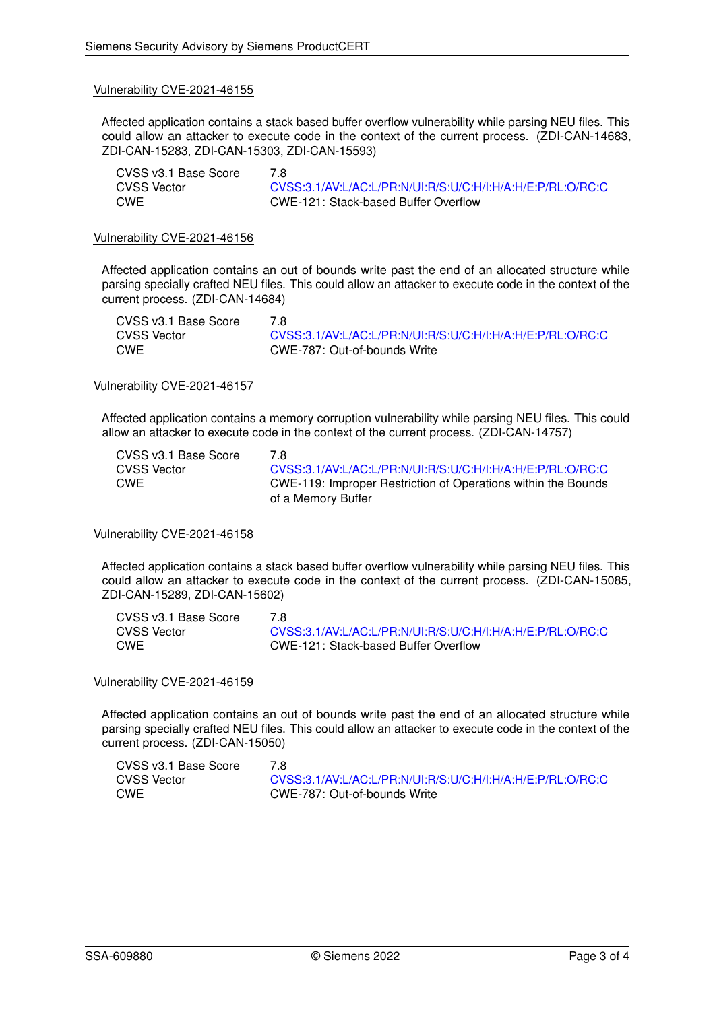#### Vulnerability CVE-2021-46155

Affected application contains a stack based buffer overflow vulnerability while parsing NEU files. This could allow an attacker to execute code in the context of the current process. (ZDI-CAN-14683, ZDI-CAN-15283, ZDI-CAN-15303, ZDI-CAN-15593)

| CVSS v3.1 Base Score | 7 R                                                        |
|----------------------|------------------------------------------------------------|
| CVSS Vector          | CVSS:3.1/AV:L/AC:L/PR:N/UI:R/S:U/C:H/I:H/A:H/E:P/RL:O/RC:C |
| CWE                  | CWE-121: Stack-based Buffer Overflow                       |

#### Vulnerability CVE-2021-46156

Affected application contains an out of bounds write past the end of an allocated structure while parsing specially crafted NEU files. This could allow an attacker to execute code in the context of the current process. (ZDI-CAN-14684)

| CVSS v3.1 Base Score | 7 R                                                        |
|----------------------|------------------------------------------------------------|
| CVSS Vector          | CVSS:3.1/AV:L/AC:L/PR:N/UI:R/S:U/C:H/I:H/A:H/E:P/RL:O/RC:C |
| <b>CWE</b>           | CWE-787: Out-of-bounds Write                               |

#### Vulnerability CVE-2021-46157

Affected application contains a memory corruption vulnerability while parsing NEU files. This could allow an attacker to execute code in the context of the current process. (ZDI-CAN-14757)

| CVSS v3.1 Base Score | 7 R                                                           |
|----------------------|---------------------------------------------------------------|
| <b>CVSS Vector</b>   | CVSS:3.1/AV:L/AC:L/PR:N/UI:R/S:U/C:H/I:H/A:H/E:P/RL:O/RC:C    |
| <b>CWE</b>           | CWE-119: Improper Restriction of Operations within the Bounds |
|                      | of a Memory Buffer                                            |

### Vulnerability CVE-2021-46158

Affected application contains a stack based buffer overflow vulnerability while parsing NEU files. This could allow an attacker to execute code in the context of the current process. (ZDI-CAN-15085, ZDI-CAN-15289, ZDI-CAN-15602)

| CVSS v3.1 Base Score | 7 R                                                        |
|----------------------|------------------------------------------------------------|
| CVSS Vector          | CVSS:3.1/AV:L/AC:L/PR:N/UI:R/S:U/C:H/I:H/A:H/E:P/RL:O/RC:C |
| CWE                  | CWE-121: Stack-based Buffer Overflow                       |

#### Vulnerability CVE-2021-46159

Affected application contains an out of bounds write past the end of an allocated structure while parsing specially crafted NEU files. This could allow an attacker to execute code in the context of the current process. (ZDI-CAN-15050)

| CVSS v3.1 Base Score | 7 R                                                        |
|----------------------|------------------------------------------------------------|
| <b>CVSS Vector</b>   | CVSS:3.1/AV:L/AC:L/PR:N/UI:R/S:U/C:H/I:H/A:H/E:P/RL:O/RC:C |
| CWE                  | CWE-787: Out-of-bounds Write                               |